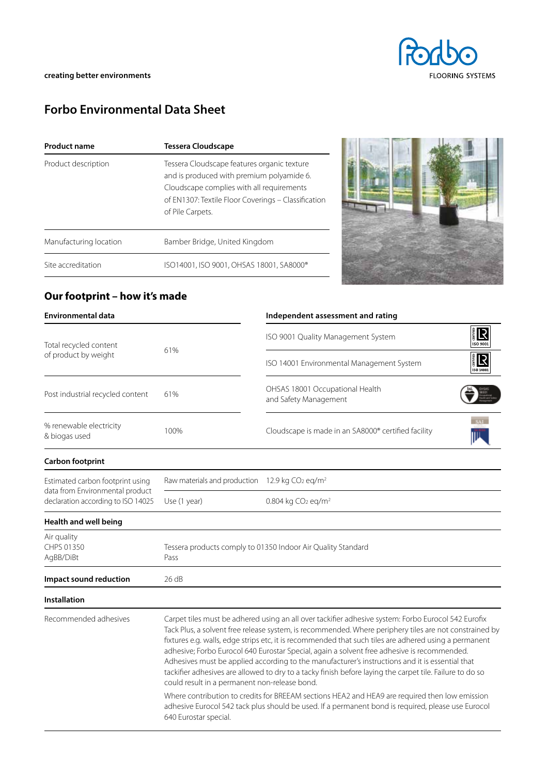

# **Forbo Environmental Data Sheet**

| <b>Product name</b>    | <b>Tessera Cloudscape</b>                                                                                                                                                                                        |  |  |  |
|------------------------|------------------------------------------------------------------------------------------------------------------------------------------------------------------------------------------------------------------|--|--|--|
| Product description    | Tessera Cloudscape features organic texture<br>and is produced with premium polyamide 6.<br>Cloudscape complies with all requirements<br>of EN1307: Textile Floor Coverings - Classification<br>of Pile Carpets. |  |  |  |
| Manufacturing location | Bamber Bridge, United Kingdom                                                                                                                                                                                    |  |  |  |
| Site accreditation     | ISO14001, ISO 9001, OHSAS 18001, SA8000®                                                                                                                                                                         |  |  |  |



## **Our footprint – how it's made**

| <b>Environmental data</b>                                             |                                                                                                                                                                                                                                                                                                                                                                                                                                                                                                                                                                                                                                                                                                                                                                                                                                                                                                                        | Independent assessment and rating                                         |  |  |  |  |
|-----------------------------------------------------------------------|------------------------------------------------------------------------------------------------------------------------------------------------------------------------------------------------------------------------------------------------------------------------------------------------------------------------------------------------------------------------------------------------------------------------------------------------------------------------------------------------------------------------------------------------------------------------------------------------------------------------------------------------------------------------------------------------------------------------------------------------------------------------------------------------------------------------------------------------------------------------------------------------------------------------|---------------------------------------------------------------------------|--|--|--|--|
| Total recycled content<br>of product by weight                        | 61%                                                                                                                                                                                                                                                                                                                                                                                                                                                                                                                                                                                                                                                                                                                                                                                                                                                                                                                    | 。<br>【<br>ISO 9001 Quality Management System<br>ISO 9001                  |  |  |  |  |
|                                                                       |                                                                                                                                                                                                                                                                                                                                                                                                                                                                                                                                                                                                                                                                                                                                                                                                                                                                                                                        | <b>R</b><br>ISO 14001 Environmental Management System<br><b>ISO 14001</b> |  |  |  |  |
| Post industrial recycled content                                      | OHSAS 18001 Occupational Health<br>61%<br>and Safety Management                                                                                                                                                                                                                                                                                                                                                                                                                                                                                                                                                                                                                                                                                                                                                                                                                                                        |                                                                           |  |  |  |  |
| % renewable electricity<br>& biogas used                              | 100%                                                                                                                                                                                                                                                                                                                                                                                                                                                                                                                                                                                                                                                                                                                                                                                                                                                                                                                   | Cloudscape is made in an SA8000® certified facility                       |  |  |  |  |
| Carbon footprint                                                      |                                                                                                                                                                                                                                                                                                                                                                                                                                                                                                                                                                                                                                                                                                                                                                                                                                                                                                                        |                                                                           |  |  |  |  |
| Estimated carbon footprint using                                      | Raw materials and production 12.9 kg CO <sub>2</sub> eq/m <sup>2</sup>                                                                                                                                                                                                                                                                                                                                                                                                                                                                                                                                                                                                                                                                                                                                                                                                                                                 |                                                                           |  |  |  |  |
| data from Environmental product<br>declaration according to ISO 14025 | Use (1 year)                                                                                                                                                                                                                                                                                                                                                                                                                                                                                                                                                                                                                                                                                                                                                                                                                                                                                                           | 0.804 kg CO <sub>2</sub> eq/m <sup>2</sup>                                |  |  |  |  |
| Health and well being                                                 |                                                                                                                                                                                                                                                                                                                                                                                                                                                                                                                                                                                                                                                                                                                                                                                                                                                                                                                        |                                                                           |  |  |  |  |
| Air quality<br>CHPS 01350<br>AgBB/DiBt                                | Tessera products comply to 01350 Indoor Air Quality Standard<br>Pass                                                                                                                                                                                                                                                                                                                                                                                                                                                                                                                                                                                                                                                                                                                                                                                                                                                   |                                                                           |  |  |  |  |
| Impact sound reduction                                                | 26 dB                                                                                                                                                                                                                                                                                                                                                                                                                                                                                                                                                                                                                                                                                                                                                                                                                                                                                                                  |                                                                           |  |  |  |  |
| <b>Installation</b>                                                   |                                                                                                                                                                                                                                                                                                                                                                                                                                                                                                                                                                                                                                                                                                                                                                                                                                                                                                                        |                                                                           |  |  |  |  |
| Recommended adhesives                                                 | Carpet tiles must be adhered using an all over tackifier adhesive system: Forbo Eurocol 542 Eurofix<br>Tack Plus, a solvent free release system, is recommended. Where periphery tiles are not constrained by<br>fixtures e.g. walls, edge strips etc, it is recommended that such tiles are adhered using a permanent<br>adhesive; Forbo Eurocol 640 Eurostar Special, again a solvent free adhesive is recommended.<br>Adhesives must be applied according to the manufacturer's instructions and it is essential that<br>tackifier adhesives are allowed to dry to a tacky finish before laying the carpet tile. Failure to do so<br>could result in a permanent non-release bond.<br>Where contribution to credits for BREEAM sections HEA2 and HEA9 are required then low emission<br>adhesive Eurocol 542 tack plus should be used. If a permanent bond is required, please use Eurocol<br>640 Eurostar special. |                                                                           |  |  |  |  |